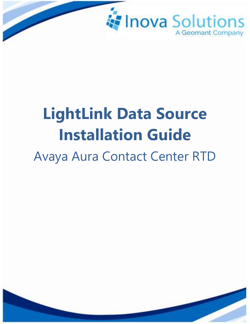

# **LightLink Data Source Installation Guide** Avaya Aura Contact Center RTD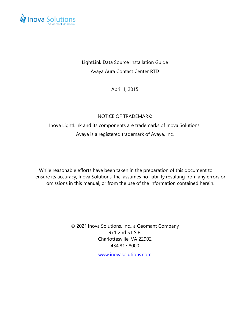

#### LightLink Data Source Installation Guide Avaya Aura Contact Center RTD

April 1, 2015

#### NOTICE OF TRADEMARK:

### Inova LightLink and its components are trademarks of Inova Solutions. Avaya is a registered trademark of Avaya, Inc.

While reasonable efforts have been taken in the preparation of this document to ensure its accuracy, Inova Solutions, Inc. assumes no liability resulting from any errors or omissions in this manual, or from the use of the information contained herein.

> © 2021 Inova Solutions, Inc., a Geomant Company 971 2nd ST S.E. Charlottesville, VA 22902 434.817.8000

> > [www.inovasolutions.com](http://www.inovasolutions.com/)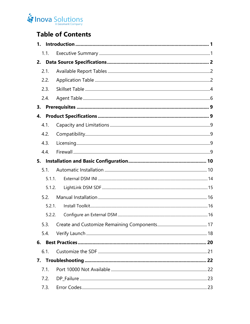## Inova Solutions

## **Table of Contents**

| 1.     |  |
|--------|--|
| 1.1.   |  |
| 2.     |  |
| 2.1.   |  |
| 2.2.   |  |
| 2.3.   |  |
| 2.4.   |  |
| 3.     |  |
| 4.     |  |
| 4.1.   |  |
| 4.2.   |  |
| 4.3.   |  |
| 4.4.   |  |
| 5.     |  |
| 5.1.   |  |
| 5.1.1. |  |
| 5.1.2. |  |
| 5.2.   |  |
| 5.2.1. |  |
| 5.2.2. |  |
|        |  |
| 5.4.   |  |
|        |  |
| 6.1.   |  |
|        |  |
| 7.1.   |  |
| 7.2.   |  |
| 7.3.   |  |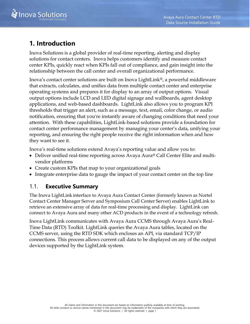

## <span id="page-3-0"></span>**1. Introduction**

Inova Solutions is a global provider of real-time reporting, alerting and display solutions for contact centers. Inova helps customers identify and measure contact center KPIs, quickly react when KPIs fall out of compliance, and gain insight into the relationship between the call center and overall organizational performance.

Inova's contact center solutions are built on Inova LightLink®, a powerful middleware that extracts, calculates, and unifies data from multiple contact center and enterprise operating systems and prepares it for display to an array of output options. Visual output options include LCD and LED digital signage and wallboards, agent desktop applications, and web-based dashboards. LightLink also allows you to program KPI thresholds that trigger an alert, such as a message, text, email, color change, or audio notification, ensuring that you're instantly aware of changing conditions that need your attention. With these capabilities, LightLink-based solutions provide a foundation for contact center performance management by managing your center's data, unifying your reporting, and ensuring the right people receive the right information when and how they want to see it.

Inova's real-time solutions extend Avaya's reporting value and allow you to:

- Deliver unified real-time reporting across Avaya Aura® Call Center Elite and multivendor platforms
- Create custom KPIs that map to your organizational goals
- <span id="page-3-1"></span>• Integrate enterprise data to gauge the impact of your contact center on the top line

#### 1.1. **Executive Summary**

The Inova LightLink interface to Avaya Aura Contact Center (formerly known as Nortel Contact Center Manager Server and Symposium Call Center Server) enables LightLink to retrieve an extensive array of data for real-time processing and display. LightLink can connect to Avaya Aura and many other ACD products in the event of a technology refresh.

Inova LightLink communicates with Avaya Aura CCMS through Avaya Aura's Real-Time Data (RTD) Toolkit. LightLink queries the Avaya Aura tables, located on the CCMS server, using the RTD SDK which encloses an API, via standard TCP/IP connections. This process allows current call data to be displayed on any of the output devices supported by the LightLink system.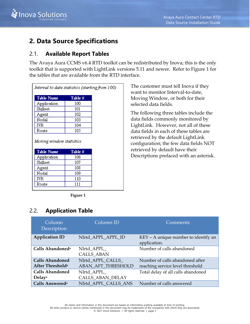

## <span id="page-4-0"></span>**2. Data Source Specifications**

#### <span id="page-4-1"></span>2.1. **Available Report Tables**

The Avaya Aura CCMS v6.4 RTD toolkit can be redistributed by Inova; this is the only toolkit that is supported with LightLink versions 5.11 and newer. Refer to [Figure 1](#page-4-3) for the tables that are available from the RTD interface.

| Interval to date statistics (starting from 100) |                |  |  |
|-------------------------------------------------|----------------|--|--|
| <b>Table Name</b>                               | Table #        |  |  |
| Application                                     | 100            |  |  |
| Skillset                                        | 101            |  |  |
| Agent                                           | 102            |  |  |
| Nodal                                           | 103            |  |  |
| IVR                                             | 104            |  |  |
|                                                 |                |  |  |
| Route                                           | 105            |  |  |
| Moving window statistics                        |                |  |  |
| <b>Table Name</b>                               | Table #<br>106 |  |  |
| Application<br>Skillset                         | 107            |  |  |
| Agent                                           | 108            |  |  |
| Nodal                                           | 109            |  |  |
| IVR                                             | 110            |  |  |

**Figure 1**

#### <span id="page-4-3"></span><span id="page-4-2"></span>2.2. **Application Table**

The customer must tell Inova if they want to monitor Interval-to-date, Moving Window, or both for their selected data fields.

The following three tables include the data fields commonly monitored by LightLink. However, not all of these data fields in each of these tables are retrieved by the default LightLink configuration; the few data fields NOT retrieved by default have their Descriptions prefaced with an asterisk.

| Column<br>Description                                  | Column <sub>ID</sub>                          | Comments                                                            |
|--------------------------------------------------------|-----------------------------------------------|---------------------------------------------------------------------|
| <b>Application ID</b>                                  | NIrtd APPL APPL ID                            | KEY - A unique number to identify an<br>application.                |
| Calls Abandoned <sup>a</sup>                           | NIrtd APPL<br><b>CALLS_ABAN</b>               | Number of calls abandoned                                           |
| <b>Calls Abandoned</b><br>After Threshold <sup>a</sup> | NIrtd APPL CALLS<br><b>ABAN AFT THRESHOLD</b> | Number of calls abandoned after<br>reaching service level threshold |
| <b>Calls Abandoned</b><br>Delaya                       | NIrtd APPL<br>CALLS_ABAN_DELAY                | Total delay of all calls abandoned                                  |
| Calls Answered <sup>a</sup>                            | NIrtd APPL CALLS ANS                          | Number of calls answered                                            |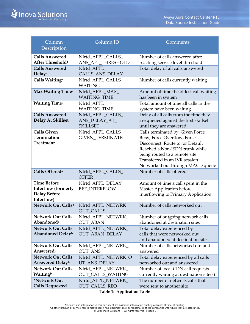| Column<br>Description                                                                 | Column ID                                             | Comments                                                                                                                                                                                                                                    |
|---------------------------------------------------------------------------------------|-------------------------------------------------------|---------------------------------------------------------------------------------------------------------------------------------------------------------------------------------------------------------------------------------------------|
| <b>Calls Answered</b><br>After Threshold <sup>a</sup>                                 | NIrtd_APPL_CALLS_<br>ANS_AFT_THRESHOLD                | Number of calls answered after<br>reaching service level threshold                                                                                                                                                                          |
| <b>Calls Answered</b><br>Delaya                                                       | NIrtd_APPL_<br>CALLS_ANS_DELAY                        | Total delay of all calls answered                                                                                                                                                                                                           |
| Calls Waiting <sup>a</sup>                                                            | NIrtd_APPL_CALLS_<br><b>WAITING</b>                   | Number of calls currently waiting                                                                                                                                                                                                           |
| Max Waiting Time <sup>a</sup>                                                         | NIrtd_APPL_MAX_<br><b>WAITING_TIME</b>                | Amount of time the oldest call waiting<br>has been in system                                                                                                                                                                                |
| <b>Waiting Timea</b>                                                                  | NIrtd_APPL_<br><b>WAITING_TIME</b>                    | Total amount of time all calls in the<br>system have been waiting                                                                                                                                                                           |
| <b>Calls Answered</b><br><b>Delay At Skillset</b>                                     | NIrtd_APPL_CALLS_<br>ANS_DELAY_AT_<br><b>SKILLSET</b> | Delay of all calls from the time they<br>are queued against the first skillset<br>until they are answered                                                                                                                                   |
| <b>Calls Given</b><br>Termination<br><b>Treatment</b>                                 | NIrtd_APPL_CALLS_<br><b>GIVEN_TERMINATE</b>           | Calls terminated by: Given Force<br>Busy, Force Overflow, Force<br>Disconnect, Route to, or Default<br>Reached a Non-ISDN trunk while<br>being routed to a remote site<br>Transferred in an IVR session<br>Networked out through MACD queue |
| Calls Offered <sup>a</sup>                                                            | NIrtd_APPL_CALLS_<br><b>OFFER</b>                     | Number of calls offered                                                                                                                                                                                                                     |
| <b>Time Before</b><br><b>Interflow (formerly</b><br><b>Delay Before</b><br>Interflow) | NIrtd_APPL_DELAY_<br><b>BEF_INTERFLOW</b>             | Amount of time a call spent in the<br>Master Application before<br>interflowing to Primary Application                                                                                                                                      |
| Network Out Callsb                                                                    | NIrtd_APPL_NETWRK_<br><b>OUT_CALLS</b>                | Number of calls networked out                                                                                                                                                                                                               |
| <b>Network Out Calls</b><br>Abandoned <sup>b</sup>                                    | NIrtd APPL NETWRK<br><b>OUT ABAN</b>                  | Number of outgoing network calls<br>abandoned at destination sites                                                                                                                                                                          |
| <b>Network Out Calls</b><br><b>Abandoned Delayb</b>                                   | NIrtd_APPL_NETWRK_<br>OUT_ABAN_DELAY                  | Total delay experienced by<br>calls that were networked out<br>and abandoned at destination sites                                                                                                                                           |
| <b>Network Out Calls</b><br>Answeredb                                                 | NIrtd_APPL_NETWRK_<br><b>OUT ANS</b>                  | Number of calls networked out and<br>answered                                                                                                                                                                                               |
| <b>Network Out Calls</b><br>Answered Delay <sup>b</sup>                               | NIrtd_APPL_NETWRK_O<br>UT_ANS_DELAY                   | Total delay experienced by all calls<br>networked out and answered                                                                                                                                                                          |
| <b>Network Out Calls</b><br>Waitingb                                                  | NIrtd_APPL_NETWRK_<br>OUT_CALLS_WAITING               | Number of local CDN call requests<br>currently waiting at destination site(s)                                                                                                                                                               |
| *Network Out<br><b>Calls Requested</b>                                                | Nlrtd_APPL_NETWRK_<br><b>OUT_CALLS_REQ</b>            | The number of network calls that<br>were sent to another site                                                                                                                                                                               |

**Table 1: Application Table**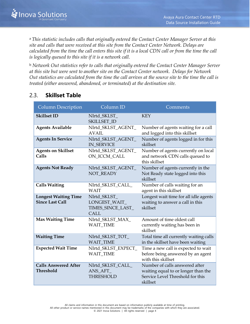<sup>a</sup>*This statistic includes calls that originally entered the Contact Center Manager Server at this site and calls that were received at this site from the Contact Center Network. Delays are calculated from the time the call enters this site if it is a local CDN call or from the time the call is logically queued to this site if it is a network call.*

<sup>b</sup> *Network Out statistics refer to calls that originally entered the Contact Center Manager Server at this site but were sent to another site on the Contact Center network. Delays for Network Out statistics are calculated from the time the call arrives at the source site to the time the call is treated (either answered, abandoned, or terminated) at the destination site.*

#### <span id="page-6-0"></span>2.3. **Skillset Table**

| Column Description                                    | Column ID                                                   | Comments                                                                                                              |
|-------------------------------------------------------|-------------------------------------------------------------|-----------------------------------------------------------------------------------------------------------------------|
| <b>Skillset ID</b>                                    | NIrtd_SKLST_<br>SKILLSET_ID                                 | <b>KEY</b>                                                                                                            |
| <b>Agents Available</b>                               | NIrtd_SKLST_AGENT_<br>AVAII.                                | Number of agents waiting for a call<br>and logged into this skillset                                                  |
| <b>Agents In Service</b>                              | NIrtd_SKLST_AGENT_<br><b>IN SERVICE</b>                     | Number of agents logged in for this<br>skillset                                                                       |
| <b>Agents on Skillset</b><br>Calls                    | NIrtd_SKLST_AGENT_<br>ON_ICCM_CALL                          | Number of agents currently on local<br>and network CDN calls queued to<br>this skillset                               |
| <b>Agents Not Ready</b>                               | NIrtd_SKLST_AGENT_<br><b>NOT READY</b>                      | Number of agents currently in the<br>Not Ready state logged into this<br>skillset                                     |
| <b>Calls Waiting</b>                                  | NIrtd_SKLST_CALL_<br><b>WAIT</b>                            | Number of calls waiting for an<br>agent in this skillset                                                              |
| <b>Longest Waiting Time</b><br><b>Since Last Call</b> | NIrtd_SKLST_<br>LONGEST_WAIT_<br>TIMES_SINCE_LAST_<br>CALL. | Longest wait time for all idle agents<br>waiting to answer a call in this<br>skillset                                 |
| <b>Max Waiting Time</b>                               | NIrtd_SKLST_MAX_<br><b>WAIT_TIME</b>                        | Amount of time oldest call<br>currently waiting has been in<br>skillset                                               |
| <b>Waiting Time</b>                                   | NIrtd_SKLST_TOT_<br><b>WAIT TIME</b>                        | Total time all currently waiting calls<br>in the skillset have been waiting                                           |
| <b>Expected Wait Time</b>                             | NIrtd_SKLST_EXPECT_<br><b>WAIT_TIME</b>                     | Time a new call is expected to wait<br>before being answered by an agent<br>with this skillset                        |
| <b>Calls Answered After</b><br><b>Threshold</b>       | NIrtd_SKLST_CALL_<br>ANS_AFT_<br><b>THRESHOLD</b>           | Number of calls answered after<br>waiting equal to or longer than the<br>Service Level Threshold for this<br>skillset |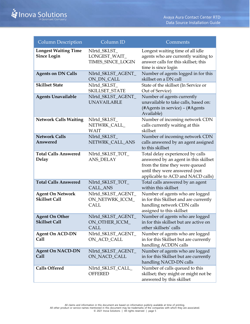| <b>Column Description</b>                         | Column ID                                            | Comments                                                                                                                                                                          |
|---------------------------------------------------|------------------------------------------------------|-----------------------------------------------------------------------------------------------------------------------------------------------------------------------------------|
| <b>Longest Waiting Time</b><br><b>Since Login</b> | NIrtd_SKLST_<br>LONGEST_WAIT_<br>TIMES_SINCE_LOGIN   | Longest waiting time of all idle<br>agents who are currently waiting to<br>answer calls for this skillset; this<br>time is since login                                            |
| <b>Agents on DN Calls</b>                         | NIrtd_SKLST_AGENT_<br>ON_DN_CALL                     | Number of agents logged in for this<br>skillset on a DN call                                                                                                                      |
| <b>Skillset State</b>                             | NIrtd_SKLST_<br>SKILLSET_STATE                       | State of the skillset (In Service or<br>Out of Service)                                                                                                                           |
| <b>Agents Unavailable</b>                         | NIrtd_SKLST_AGENT_<br><b>UNAVAILABLE</b>             | Number of agents currently<br>unavailable to take calls, based on:<br>(#Agents in service) - (#Agents<br>Available)                                                               |
| <b>Network Calls Waiting</b>                      | NIrtd_SKLST_<br>NETWRK_CALL_<br><b>WAIT</b>          | Number of incoming network CDN<br>calls currently waiting at this<br>skillset                                                                                                     |
| <b>Network Calls</b><br>Answered                  | NIrtd_SKLST_<br>NETWRK_CALL_ANS                      | Number of incoming network CDN<br>calls answered by an agent assigned<br>to this skillset                                                                                         |
| <b>Total Calls Answered</b><br><b>Delay</b>       | NIrtd_SKLST_TOT_<br><b>ANS_DELAY</b>                 | Total delay experienced by calls<br>answered by an agent in this skillset<br>from the time they were queued<br>until they were answered (not<br>applicable to ACD and NACD calls) |
| <b>Total Calls Answered</b>                       | NIrtd_SKLST_TOT_<br>CALL_ANS                         | Total calls answered by an agent<br>within this skillset                                                                                                                          |
| <b>Agent On Network</b><br><b>Skillset Call</b>   | NIrtd_SKLST_AGENT_<br>ON_NETWRK_ICCM_<br><b>CALL</b> | Number of agents who are logged<br>in for this Skillset and are currently<br>handling network CDN calls<br>assigned to this skillset                                              |
| <b>Agent On Other</b><br><b>Skillset Call</b>     | NIrtd_SKLST_AGENT_<br>ON_OTHER_ICCM_<br>CALL         | Number of agents who are logged<br>in for this skillset but are active on<br>other skillsets' calls                                                                               |
| <b>Agent On ACD-DN</b><br>Call                    | NIrtd_SKLST_AGENT_<br>ON_ACD_CALL                    | Number of agents who are logged<br>in for this Skillset but are currently<br>handling ACDDN calls                                                                                 |
| <b>Agent On NACD-DN</b><br>Call                   | NIrtd_SKLST_AGENT_<br>ON_NACD_CALL                   | Number of agents who are logged<br>in for this Skillset but are currently<br>handling NACD-DN calls                                                                               |
| <b>Calls Offered</b>                              | NIrtd_SKLST_CALL_<br><b>OFFERED</b>                  | Number of calls queued to this<br>skillset; they might or might not be<br>answered by this skillset                                                                               |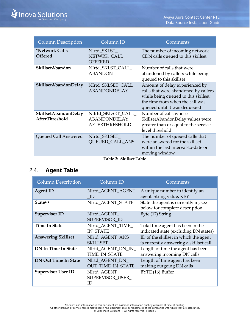| <b>Column Description</b>                     | Column <sub>ID</sub>                                          | Comments                                                                                                                                                                          |
|-----------------------------------------------|---------------------------------------------------------------|-----------------------------------------------------------------------------------------------------------------------------------------------------------------------------------|
| *Network Calls<br><b>Offered</b>              | Nlrtd_SKLST_<br>NETWRK_CALL_<br><b>OFFERED</b>                | The number of incoming network<br>CDN calls queued to this skillset                                                                                                               |
| SkillsetAbandon                               | NIrtd_SKLST_CALL_<br><b>ABANDON</b>                           | Number of calls that were<br>abandoned by callers while being<br>queued to this skillset                                                                                          |
| SkillsetAbandonDelay                          | NIrtd_SKLSET_CALL_<br><b>ABANDONDELAY</b>                     | Amount of delay experienced by<br>calls that were abandoned by callers<br>while being queued to this skillset;<br>the time from when the call was<br>queued until it was dequeued |
| SkillsetAbandonDelay<br><b>AfterThreshold</b> | NIlrtd_SKLSET_CALL_<br>ABANDONDELAY_<br><b>AFTERTHRESHOLD</b> | Number of calls whose<br>SkillsetAbandonDelay values were<br>greater than or equal to the service<br>level threshold                                                              |
| Queued Call Answered                          | NIrtd_SKLSET_<br><b>QUEUED_CALL_ANS</b>                       | The number of queued calls that<br>were answered for the skillset<br>within the last interval-to-date or<br>moving window                                                         |

**Table 2: Skillset Table**

#### <span id="page-8-0"></span>2.4. **Agent Table**

| <b>Column Description</b>   | Column ID                                   | Comments                                                                        |
|-----------------------------|---------------------------------------------|---------------------------------------------------------------------------------|
| <b>Agent ID</b>             | NIrtd AGENT AGENT<br>- ID                   | A unique number to identify an<br>agent. String value, KEY                      |
| Statea, c                   | NIrtd_AGENT_STATE                           | State the agent is currently in; see<br>below for complete description          |
| <b>Supervisor ID</b>        | NIrtd_AGENT_<br>SUPERVISOR ID               | Byte (17) String                                                                |
| <b>Time In State</b>        | NIrtd_AGENT_TIME_<br><b>IN STATE</b>        | Total time agent has been in the<br>indicated state (excluding DN states)       |
| <b>Answering Skillset</b>   | NIrtd_AGENT_ANS_<br><b>SKILLSET</b>         | ID of the skillset in which the agent<br>is currently answering a skillset call |
| <b>DN In Time In State</b>  | Nlrtd_AGENT_DN_IN_<br>TIME_IN_STATE         | Length of time the agent has been<br>answering incoming DN calls                |
| <b>DN Out Time In State</b> | Nlrtd_AGENT_DN_<br><b>OUT_TIME_IN_STATE</b> | Length of time agent has been<br>making outgoing DN calls                       |
| <b>Supervisor User ID</b>   | NIrtd_AGENT_<br>SUPERVISOR_USER_<br>ID      | BYTE (16) Buffer                                                                |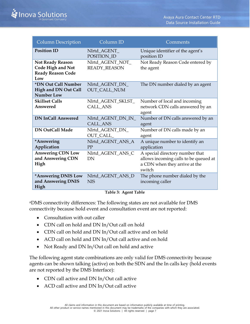| <b>Column Description</b>                                                              | Column ID                               | Comments                                                                                                            |
|----------------------------------------------------------------------------------------|-----------------------------------------|---------------------------------------------------------------------------------------------------------------------|
| <b>Position ID</b>                                                                     | NIrtd_AGENT_<br>POSITION_ID             | Unique identifier of the agent's<br>position ID                                                                     |
| <b>Not Ready Reason</b><br><b>Code High and Not</b><br><b>Ready Reason Code</b><br>Low | Nlrtd_AGENT_NOT_<br><b>READY_REASON</b> | Not Ready Reason Code entered by<br>the agent                                                                       |
| *DN Out Call Number<br><b>High and DN Out Call</b><br><b>Number Low</b>                | Nlrtd_AGENT_DN_<br><b>OUT_CALL_NUM</b>  | The DN number dialed by an agent                                                                                    |
| <b>Skillset Calls</b><br>Answered                                                      | Nlrtd_AGENT_SKLST_<br><b>CALL ANS</b>   | Number of local and incoming<br>network CDN calls answered by an<br>agent                                           |
| <b>DN InCall Answered</b>                                                              | Nlrtd_AGENT_DN_IN_<br><b>CALL_ANS</b>   | Number of DN calls answered by an<br>agent                                                                          |
| <b>DN OutCall Made</b>                                                                 | Nlrtd_AGENT_DN_<br>OUT_CALL_            | Number of DN calls made by an<br>agent                                                                              |
| *Answering<br>Application                                                              | Nlrtd_AGENT_ANS_A<br>PP                 | A unique number to identify an<br>application                                                                       |
| <b>Answering CDN Low</b><br>and Answering CDN<br>High                                  | Nlrtd_AGENT_ANS_C<br>DN                 | A special directory number that<br>allows incoming calls to be queued at<br>a CDN when they arrive at the<br>switch |
| *Answering DNIS Low<br>and Answering DNIS<br>High                                      | Nlrtd_AGENT_ANS_D<br><b>NIS</b>         | The phone number dialed by the<br>incoming caller                                                                   |

#### **Table 3: Agent Table**

<sup>a</sup>DMS connectivity differences: The following states are not available for DMS connectivity because hold event and consultation event are not reported:

- Consultation with out caller
- CDN call on hold and DN In/Out call on hold
- CDN call on hold and DN In/Out call active and on hold
- ACD call on hold and DN In/Out call active and on hold
- Not Ready and DN In/Out call on hold and active

The following agent state combinations are only valid for DMS connectivity because agents can be shown talking (active) on both the SDN and the In calls key (hold events are not reported by the DMS Interface):

- CDN call active and DN In/Out call active
- ACD call active and DN In/Out call active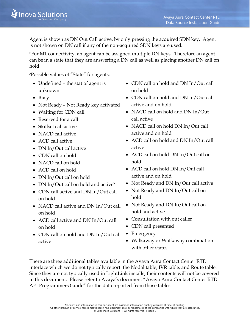Agent is shown as DN Out Call active, by only pressing the acquired SDN key. Agent is not shown on DN call if any of the non-acquired SDN keys are used.

<sup>b</sup>For M1 connectivity, an agent can be assigned multiple DN keys. Therefore an agent can be in a state that they are answering a DN call as well as placing another DN call on hold.

<sup>c</sup>Possible values of "State" for agents:

- Undefined the stat of agent is unknown
- Busy
- Not Ready Not Ready key activated
- Waiting for CDN call
- Reserved for a call
- Skillset call active
- NACD call active
- ACD call active
- DN In/Out call active
- CDN call on hold
- NACD call on hold
- ACD call on hold
- DN In/Out call on hold
- DN In/Out call on hold and active<sup>b</sup>
- CDN call active and DN In/Out call on hold
- NACD call active and DN In/Out call on hold
- ACD call active and DN In/Out call on hold
- CDN call on hold and DN In/Out call active
- CDN call on hold and DN In/Out call on hold
- CDN call on hold and DN In/Out call active and on hold
- NACD call on hold and DN In/Out call active
- NACD call on hold DN In/Out call active and on hold
- ACD call on hold and DN In/Out call active
- ACD call on hold DN In/Out call on hold
- ACD call on hold DN In/Out call active and on hold
- Not Ready and DN In/Out call active
- Not Ready and DN In/Out call on hold
- Not Ready and DN In/Out call on hold and active
- Consultation with out caller
- CDN call presented
- Emergency
- Walkaway or Walkaway combination with other states

There are three additional tables available in the Avaya Aura Contact Center RTD interface which we do not typically report: the Nodal table, IVR table, and Route table. Since they are not typically used in LightLink installs, their contents will not be covered in this document. Please refer to Avaya's document "Avaya Aura Contact Center RTD API Programmers Guide" for the data reported from those tables.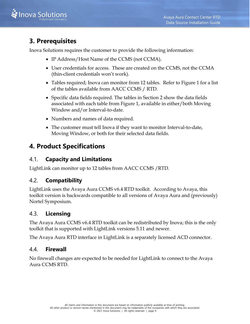

## <span id="page-11-0"></span>**3. Prerequisites**

Inova Solutions requires the customer to provide the following information:

- IP Address/Host Name of the CCMS (not CCMA).
- User credentials for access. These are created on the CCMS, not the CCMA (thin-client credentials won't work).
- Tables required; Inova can monitor from 12 tables. Refer to [Figure 1](#page-4-3) for a list of the tables available from AACC CCMS / RTD.
- Specific data fields required. The tables in Section 2 show the data fields associated with each table from Figure 1, available in either/both Moving Window and/or Interval-to-date.
- Numbers and names of data required.
- The customer must tell Inova if they want to monitor Interval-to-date, Moving Window, or both for their selected data fields.

## <span id="page-11-1"></span>**4. Product Specifications**

#### <span id="page-11-2"></span>4.1. **Capacity and Limitations**

LightLink can monitor up to 12 tables from AACC CCMS /RTD.

#### <span id="page-11-3"></span>4.2. **Compatibility**

LightLink uses the Avaya Aura CCMS v6.4 RTD toolkit. According to Avaya, this toolkit version is backwards compatible to all versions of Avaya Aura and (previously) Nortel Symposium.

#### <span id="page-11-4"></span>4.3. **Licensing**

The Avaya Aura CCMS v6.4 RTD toolkit can be redistributed by Inova; this is the only toolkit that is supported with LightLink versions 5.11 and newer.

The Avaya Aura RTD interface in LightLink is a separately licensed ACD connector.

#### <span id="page-11-5"></span>4.4. **Firewall**

No firewall changes are expected to be needed for LightLink to connect to the Avaya Aura CCMS RTD.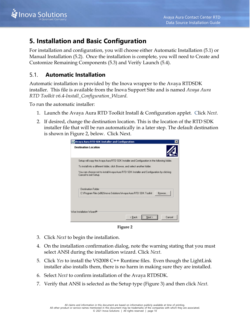

## <span id="page-12-0"></span>**5. Installation and Basic Configuration**

For installation and configuration, you will choose either [Automatic Installation](#page-12-1) [\(5.1\)](#page-12-1) or [Manual Installation](#page-18-0) [\(5.2\)](#page-18-0). Once the installation is complete, you will need to [Create and](#page-19-0)  [Customize Remaining](#page-19-0) Components [\(5.3\)](#page-19-0) and [Verify Launch](#page-20-0) [\(5.4\)](#page-20-0).

#### <span id="page-12-1"></span>5.1. **Automatic Installation**

Automatic installation is provided by the Inova wrapper to the Avaya RTDSDK installer. This file is available from the Inova Support Site and is named *Avaya Aura RTD Toolkit v6.4-Install\_Configuration\_Wizard*.

To run the automatic installer:

- 1. Launch the Avaya Aura RTD Toolkit Install & Configuration applet. Click *Next*.
- 2. If desired, change the destination location. This is the location of the RTD SDK installer file that will be run automatically in a later step. The default destination is shown in [Figure 2,](#page-12-2) below. Click Next.

| Avaya Aura RTD SDK Installer and Configuration                                                                    |  |  |  |
|-------------------------------------------------------------------------------------------------------------------|--|--|--|
| <b>Destination Location</b>                                                                                       |  |  |  |
| Setup will copy the Avaya Aura RTD SDK Installer and Configuration in the following folder.                       |  |  |  |
| To install into a different folder, click Browse, and select another folder.                                      |  |  |  |
| You can choose not to install Avaya Aura RTD SDK Installer and Configuration by clicking<br>Cancel to exit Setup. |  |  |  |
| <b>Destination Folder</b>                                                                                         |  |  |  |
| C:\Program Files (x86)\Inova Solutions\Avaya Aura RTD SDK Toolkit<br>Browse                                       |  |  |  |
| Wise Installation Wizard®<br>< Back<br>Cancel<br>Next                                                             |  |  |  |

**Figure 2**

- <span id="page-12-2"></span>3. Click *Next* to begin the installation.
- 4. On the installation confirmation dialog, note the warning stating that you must select ANSI during the installation wizard. Click *Next*.
- 5. Click *Yes* to install the VS2008 C++ Runtime files. Even though the LightLink installer also installs them, there is no harm in making sure they are installed.
- 6. Select *Next* to confirm installation of the Avaya RTDSDK.
- 7. Verify that ANSI is selected as the Setup type [\(Figure 3\)](#page-13-0) and then click *Next*.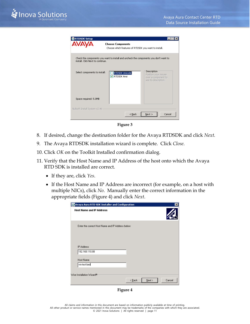| <b>RTDSDK Setup</b>              |                                                                                       |                                                                                   |
|----------------------------------|---------------------------------------------------------------------------------------|-----------------------------------------------------------------------------------|
| AVA                              | <b>Choose Components</b><br>Choose which features of RTDSDK you want to install.      |                                                                                   |
| install. Click Next to continue. | Check the components you want to install and uncheck the components you don't want to |                                                                                   |
| Select components to install:    | RTDSDK Unicode<br><b>RTDSDK Ansi</b><br>v                                             | Description<br>Position your mouse<br>over a component to<br>see its description. |
| Space required: 5.0MB            |                                                                                       |                                                                                   |
| Nullsoft Install System v2,46    | $<$ Back                                                                              | Cancel<br>Next                                                                    |
|                                  |                                                                                       |                                                                                   |

**Figure 3**

- <span id="page-13-0"></span>8. If desired, change the destination folder for the Avaya RTDSDK and click *Next.*
- 9. The Avaya RTDSDK installation wizard is complete. Click *Close*.
- 10. Click *OK* on the Toolkit Installed confirmation dialog.
- 11. Verify that the Host Name and IP Address of the host onto which the Avaya RTD SDK is installed are correct.
	- If they are, click *Yes*.
	- If the Host Name and IP Address are incorrect (for example, on a host with multiple NICs), click *No*. Manually enter the correct information in the appropriate fields [\(Figure 4\)](#page-13-1) and click *Next*.

| Avaya Aura RTD SDK Installer and Configuration                         |        |      | $\vert x \vert$ |
|------------------------------------------------------------------------|--------|------|-----------------|
| <b>Host Name and IP Address</b>                                        |        |      |                 |
| Enter the correct Host Name and IP Address below:                      |        |      |                 |
| <b>IP Address</b><br>192.168.110.88<br><b>Host Name</b><br>vm-test-bed |        |      |                 |
| Wise Installation Wizard®                                              | < Back | Next | Cancel          |

<span id="page-13-1"></span>**Figure 4**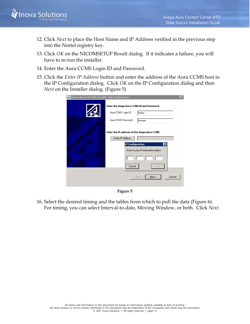

- 12. Click *Next* to place the Host Name and IP Address verified in the previous step into the Nortel registry key.
- 13. Click *OK* on the NICOMSETUP Result dialog. If it indicates a failure, you will have to re-run the installer.
- 14. Enter the Aura CCMS Login ID and Password.
- 15. Click the *Enter IP Address* button and enter the address of the Aura CCMS host in the IP Configuration dialog. Click *OK* on the IP Configuration dialog and then *Next* on the Installer dialog. [\(Figure 5\)](#page-14-0)

| <b>Avaya Aura RTD SDK Installer and Configuration</b><br>$\vert x \vert$ |                                                                                               |                                                            |
|--------------------------------------------------------------------------|-----------------------------------------------------------------------------------------------|------------------------------------------------------------|
|                                                                          | Enter the Avaya Aura CCMS ID and Password<br>Aura CCMS Login ID:<br>Aura CCMS Password:       | hoosy<br>howsyu                                            |
|                                                                          | Enter the IP address of the Avaya Aura CCMS<br>Enter IP Address<br>IP Configuration<br>Cancel | $\mathbf{z}$<br>Enter In your IP information below.<br>OΚ. |
|                                                                          |                                                                                               | Cancel<br>$\leq$ Back<br>$N$ ext >                         |

**Figure 5**

<span id="page-14-0"></span>16. Select the desired timing and the tables from which to pull the data [\(Figure 6\)](#page-15-0). For timing, you can select Interval-to-date, Moving Window, or both. Click *Next*.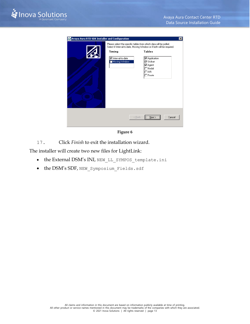

| Avaya Aura RTD SDK Installer and Configuration |                                               | $\vert x \vert$                                                                                                                                                                                                                                                         |
|------------------------------------------------|-----------------------------------------------|-------------------------------------------------------------------------------------------------------------------------------------------------------------------------------------------------------------------------------------------------------------------------|
|                                                | Timing<br>□ Interval-to-date<br>Moving Window | Please select the specific tables from which data will be polled.<br>Select if Interval-to-date, Moving Window or if both will be required.<br><b>Tables</b><br><b>▽</b> Application<br><b>I</b> ⊽ Skillset<br><b>⊽</b> Agent<br>$\Box$ Nodal<br>∃iVR<br>$\sqcap$ Route |
|                                                |                                               | $N$ ext ><br>Cancel<br>< Back                                                                                                                                                                                                                                           |

**Figure 6**

<span id="page-15-0"></span>17. Click *Finish* to exit the installation wizard.

The installer will create two new files for LightLink:

- the External DSM's INI, NEW LL SYMPOS template.ini
- the DSM's SDF, NEW\_Symposium\_Fields.sdf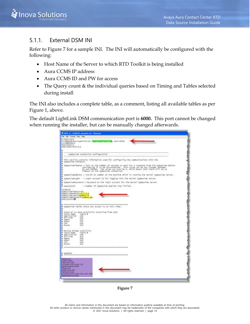

#### <span id="page-16-0"></span>5.1.1. External DSM INI

Refer to [Figure 7](#page-16-1) for a sample INI. The INI will automatically be configured with the following:

- Host Name of the Server to which RTD Toolkit is being installed
- Aura CCMS IP address
- Aura CCMS ID and PW for access
- The Query count & the individual queries based on Timing and Tables selected during install

The INI also includes a complete table, as a comment, listing all available tables as per Figure 1, above.

The default LightLink DSM communication port is **6000.** This port cannot be changed when running the installer, but can be manually changed afterwards.

| File Edit Format View Help                                                                                                                                                                                                                                                                           | <b>NEW LL SYMPOS template.ini- Natepad</b>                                                                                                                                                                                                                                   |
|------------------------------------------------------------------------------------------------------------------------------------------------------------------------------------------------------------------------------------------------------------------------------------------------------|------------------------------------------------------------------------------------------------------------------------------------------------------------------------------------------------------------------------------------------------------------------------------|
| [LightLink]<br>LLCommMode=3<br>heartbeat-1<br>HeartbeatText=n/a                                                                                                                                                                                                                                      | LLCommAddress=type=TCP/IP, host=cwallace=lab, port=6000                                                                                                                                                                                                                      |
| ٠                                                                                                                                                                                                                                                                                                    | symposium connection configuration                                                                                                                                                                                                                                           |
| ٠<br>Symposium software.<br>٠                                                                                                                                                                                                                                                                        | This section contains information used for configuring the communications with the                                                                                                                                                                                           |
| ö                                                                                                                                                                                                                                                                                                    | SymposiumTimeout = This is the number of seconds to wait for a response from the Symposium before<br>. considering it to be discormected. This value can be any integer between.<br>60 and 909999. The value can also be 0, which me<br>timeout on the symposium connection. |
| ٠                                                                                                                                                                                                                                                                                                    | SymposiumAddress = TCP/IP IP number of the machine which is running the mortel Symposium server.                                                                                                                                                                             |
|                                                                                                                                                                                                                                                                                                      | Symposium.ogin = Login account ID for logging into the Nortel Symposium server.                                                                                                                                                                                              |
|                                                                                                                                                                                                                                                                                                      | SymposiumPassword = Password on the login account for the Nortel Symposium server.                                                                                                                                                                                           |
| # query count                                                                                                                                                                                                                                                                                        | - number of Symposium queries that follow.                                                                                                                                                                                                                                   |
| Sympos furn't neour -60<br>SymposiumAddress=1.1.1.1.1<br>SymposiumLogin=Sympos_id<br>Sympos fumPas sword= <mark>sympos_pw</mark><br>QueryCount= <mark>2</mark>                                                                                                                                       |                                                                                                                                                                                                                                                                              |
| Table Hame<br>٠<br>Application<br>٠<br>skillset<br>٠<br># Agent<br>Nóda1<br>٠<br># IVR<br>٠<br>ROUTE<br>Mouling window statistics<br>٠<br># Table Name<br>Application<br>٠<br>skillset<br>Agent.<br>٠<br># Nodal<br>۰<br>IVR <sup>1</sup><br>٠<br>ROUTH<br># QUERIES<br><b>TOWERY!</b><br>LADE1-APPL | # Symposium Tables Inova has access to at this time:<br># Interval to date statistics (starting from 100)<br>Table ₽<br>100<br>101<br>102<br>103<br>104<br>105<br>Table #<br>106<br>3.07<br>108<br>109<br>110<br>111                                                         |
| Table10+100<br>Columns=130-148.251<br>updatemate=5000<br>[Query2]<br>Labe1=SHL5ET<br>Table10-101<br>Columns=110-169, 250, 252-258<br>updateRate=5000                                                                                                                                                 |                                                                                                                                                                                                                                                                              |

<span id="page-16-1"></span>**Figure 7**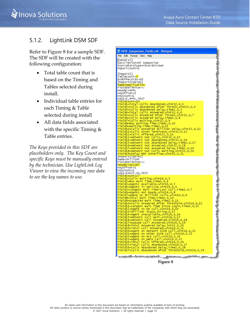

#### <span id="page-17-0"></span>5.1.2. LightLink DSM SDF

Refer to [Figure 8](#page-17-1) for a sample SDF. The SDF will be created with the following configuration:

- Total table count that is based on the Timing and Tables selected during install.
- Individual table entries for each Timing & Table selected during install
- All data fields associated with the specific Timing & Table entries.

*The Keys provided in this SDF are placeholders only. The Key Count and specific Keys must be manually entered by the technician. Use LightLink Log Viewer to view the incoming raw data to see the key names to use.*



<span id="page-17-1"></span>**Figure 8**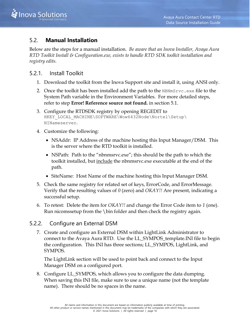#### <span id="page-18-0"></span>5.2. **Manual Installation**

Below are the steps for a manual installation. *Be aware that an Inova Installer, Avaya Aura RTD Toolkit Install & Configuration.exe, exists to handle RTD SDK toolkit installation and registry edits.*

#### <span id="page-18-1"></span>5.2.1. Install Toolkit

- 1. Download the toolkit from the Inova Support site and install it, using ANSI only.
- 2. Once the toolkit has been installed add the path to the  $NBNmSTvc$ . exe file to the System Path variable in the Environment Variables. For more detailed steps, refer to step **Error! Reference source not found.** in section [5.1.](#page-12-1)
- 3. Configure the RTDSDK registry by opening REGEDIT to HKEY LOCAL MACHINE\SOFTWARE\Wow6432Node\Nortel\Setup\ NINameserver.
- 4. Customize the following:
	- NSAddr: IP Address of the machine hosting this Input Manager/DSM. This is the server where the RTD toolkit is installed.
	- NSPath: Path to the "nbnmsrvc.exe"; this should be the path to which the toolkit installed, but include the nbnmsrvc.exe executable at the end of the path.
	- SiteName: Host Name of the machine hosting this Input Manager DSM.
- 5. Check the same registry for related set of keys, ErrorCode, and ErrorMessage. Verify that the resulting values of *0* (zero) and *OKAY!!* Are present, indicating a successful setup.
- 6. To retest: Delete the item for *OKAY!!* and change the Error Code item to *1* (one). Run nicomssetup from the \bin folder and then check the registry again.

#### <span id="page-18-2"></span>5.2.2. Configure an External DSM

7. Create and configure an External DSM within LightLink Administrator to connect to the Avaya Aura RTD. Use the LL\_SYMPOS\_template.INI file to begin the configuration. This INI has three sections; LL\_SYMPOS, LightLink, and SYMPOS.

The LightLink section will be used to point back and connect to the Input Manager DSM on a configured port.

8. Configure LL\_SYMPOS, which allows you to configure the data dumping. When saving this INI file, make sure to use a unique name (not the template name). There should be no spaces in the name.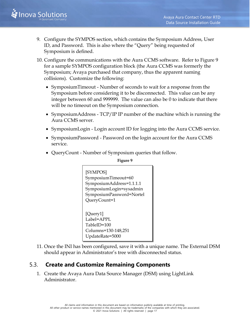

- 9. Configure the SYMPOS section, which contains the Symposium Address, User ID, and Password. This is also where the "Query" being requested of Symposium is defined.
- 10. Configure the communications with the Aura CCMS software. Refer to [Figure 9](#page-19-1) for a sample SYMPOS configuration block (the Aura CCMS was formerly the Symposium; Avaya purchased that company, thus the apparent naming collisions). Customize the following:
	- SymposiumTimeout Number of seconds to wait for a response from the Symposium before considering it to be disconnected. This value can be any integer between 60 and 999999. The value can also be 0 to indicate that there will be no timeout on the Symposium connection.
	- SymposiumAddress TCP/IP IP number of the machine which is running the Aura CCMS server.
	- SymposiumLogin Login account ID for logging into the Aura CCMS service.
	- SymposiumPassword Password on the login account for the Aura CCMS service.
	- QueryCount Number of Symposium queries that follow.

**Figure 9**

<span id="page-19-1"></span>

| [SYMPOS]<br>SymposiumTimeout=60<br>SymposiumAddress=1.1.1.1<br>SymposiumLogin=sysadmin<br>SymposiumPassword=Nortel<br>QueryCount=1 |
|------------------------------------------------------------------------------------------------------------------------------------|
| [Query1]<br>Label=APPL                                                                                                             |
|                                                                                                                                    |
| TableID=100                                                                                                                        |
| Columns=130-148,251                                                                                                                |
| UpdateRate=5000                                                                                                                    |

11. Once the INI has been configured, save it with a unique name. The External DSM should appear in Administrator's tree with disconnected status.

#### <span id="page-19-0"></span>5.3. **Create and Customize Remaining Components**

1. Create the Avaya Aura Data Source Manager (DSM) using LightLink Administrator.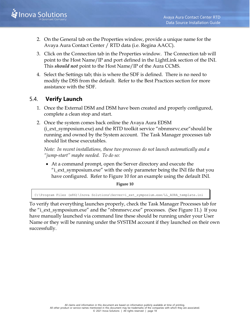

- 2. On the General tab on the Properties window, provide a unique name for the Avaya Aura Contact Center / RTD data (i.e. Regina AACC).
- 3. Click on the Connection tab in the Properties window. The Connection tab will point to the Host Name/IP and port defined in the LightLink section of the INI. This *should not* point to the Host Name/IP of the Aura CCMS.
- 4. Select the Settings tab; this is where the SDF is defined. There is no need to modify the DSS from the default. Refer to the Best Practices section for more assistance with the SDF.

#### <span id="page-20-0"></span>5.4. **Verify Launch**

- 1. Once the External DSM and DSM have been created and properly configured, complete a clean stop and start.
- 2. Once the system comes back online the Avaya Aura EDSM (i\_ext\_symposium.exe) and the RTD toolkit service "nbnmsrvc.exe"should be running and owned by the System account. The Task Manager processes tab should list these executables.

*Note: In recent installations, these two processes do not launch automatically and a "jump-start" maybe needed. To do so:*

• At a command prompt, open the Server directory and execute the "i\_ext\_symposium.exe" with the only parameter being the INI file that you have configured. Refer to [Figure 10](#page-20-1) for an example using the default INI.

**Figure 10**

<span id="page-20-1"></span>C:\Program Files (x86)\Inova Solutions\Server>i\_ext\_symposium.exe/LL\_AURA\_template.ini

To verify that everything launches properly, check the Task Manager Processes tab for the "i\_ext\_symposium.exe" and the "nbnmsrvc.exe" processes. (See [Figure 11.](#page-21-0)) If you have manually launched via command line these should be running under your User Name or they will be running under the SYSTEM account if they launched on their own successfully.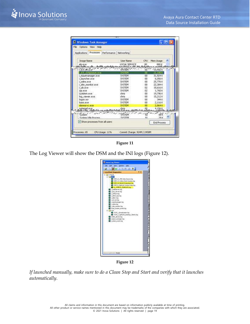| File Options View Help                        |                                                   |               |                     |  |
|-----------------------------------------------|---------------------------------------------------|---------------|---------------------|--|
| Applications Processes Performance Networking |                                                   |               |                     |  |
| Image Name                                    | <b>User Name</b>                                  | <b>CPU</b>    | Mem Usage           |  |
| alguence                                      | LOCAL SERVICE                                     | 00            | 880 K               |  |
| <b><i><u>Andrews and </u></i></b>             | الأسباب والمناقبة المستحيل وسنادي<br>$1.11 - 1.2$ | <b>MARKET</b> |                     |  |
| ext m.exe                                     | <b>SYSTEM</b>                                     |               | 19,492%             |  |
| ext. symposum.com                             | SYSTEM<br><b>SYSTEM</b>                           | œ<br>00       | 21 1803<br>31,924 K |  |
| i_inpubmanager.exe<br>i launcher.exe          | <b>SYSTEM</b>                                     | œ             | 6,056 K             |  |
| i odno jese                                   | <b>SYSTEM</b>                                     | 00            | 25.776K             |  |
| i_site_monitor.exe                            | <b>SYSTEM</b>                                     | 00            | 22.384K             |  |
| sub exer                                      | <b>SYSTEM</b>                                     | 02            | 18.616K             |  |
| 126.633                                       | <b>SYSTEM</b>                                     | 02            | 1,760 K             |  |
| LLAdmin.exe                                   | chris                                             | 00            | 19,796K             |  |
| log viewer .exe                               | dvis.                                             | 00            | 15,212 K            |  |
| logon.scr                                     | <b>SYSTEM</b>                                     | 00            | 344K                |  |
| kass.exe                                      | SYSTEM                                            | 00            | 2.116%              |  |
| rémarve ave                                   | <b>SYSTEM</b>                                     | œ             | 2.864 K             |  |
| notepad.exp                                   | dris                                              | œ             | 4,156K              |  |
|                                               |                                                   |               |                     |  |
| System <sup>1</sup>                           | SYSTEM                                            |               | es c                |  |
| System Ide Process                            | SYSTEM                                            | 91            | 283                 |  |
| P Show processes from all users               |                                                   |               | End Process         |  |

**Figure 11**

<span id="page-21-0"></span>The Log Viewer will show the DSM and the INI logs [\(Figure 12\)](#page-21-1).



**Figure 12**

<span id="page-21-1"></span>*If launched manually, make sure to do a Clean Stop and Start and verify that it launches automatically.*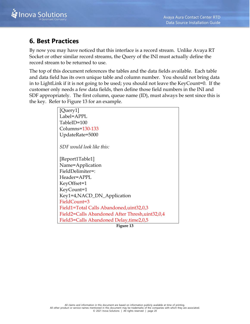

## <span id="page-22-0"></span>**6. Best Practices**

By now you may have noticed that this interface is a record stream. Unlike Avaya RT Socket or other similar record streams, the Query of the INI must actually define the record stream to be returned to use.

The top of this document references the tables and the data fields available. Each table and data field has its own unique table and column number. You should not bring data in to LightLink if it is not going to be used; you should not leave the KeyCount=0. If the customer only needs a few data fields, then define those field numbers in the INI and SDF appropriately. The first column, queue name (ID), must always be sent since this is the key. Refer to [Figure 13](#page-22-1) for an example.

| [Query1]                                        |
|-------------------------------------------------|
| Label=APPL                                      |
| TableID=100                                     |
| Columns=130-133                                 |
| UpdateRate=5000                                 |
| SDF would look like this:                       |
| [Report1Table1]                                 |
| Name=Application                                |
| FieldDelimiter=:                                |
| Header=APPL                                     |
| KeyOffset=1                                     |
| KeyCount=1                                      |
| Key1=4,NACD_DN_Application                      |
| FieldCount=3                                    |
| Field1=Total Calls Abandoned, uint32,0,3        |
| Field2=Calls Abandoned After Thresh, uint32,0,4 |
| Field3=Calls Abandoned Delay,time2,0,5          |

<span id="page-22-1"></span>**Figure 13**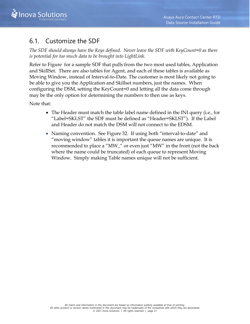

## <span id="page-23-0"></span>6.1. Customize the SDF

*The SDF should always have the Keys defined. Never leave the SDF with KeyCount=0 as there is potential for too much data to be brought into LightLink.* 

Refer to [Figure](#page-24-2) for a sample SDF that pulls from the two most used tables, Application and SkillSet. There are also tables for Agent, and each of these tables is available as Moving Window, instead of Interval-to-Date. The customer is most likely not going to be able to give you the Application and Skillset numbers, just the names. When configuring the DSM, setting the KeyCount=0 and letting all the data come through may be the only option for determining the numbers to then use as keys.

Note that:

- The Header must match the table label name defined in the INI query (i.e., for "Label=SKLST" the SDF must be defined as "Header=SKLST"). If the Label and Header do not match the DSM will not connect to the EDSM.
- Naming convention. See Figure 32. If using both "interval-to-date" and "moving window" tables it is important the queue names are unique. It is recommended to place a "MW\_" or even just "MW" in the front (not the back where the name could be truncated) of each queue to represent Moving Window. Simply making Table names unique will not be sufficient.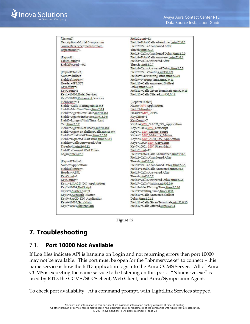FieldCount=12 [General] Description=Nortel Symposium Field1=Total Calls Abandoned, uint32,0,3 Field2=Calls Abandoned After SourceDataType=recordstream Reportcount=1 Thresh, uint32,0.4 Field3=Calls Abandoned Delay.time2.0.5 Field4=Total Calls Answered,uint32,0,6 [Report1] TableCount=3 Field5=Calls Answered After EndOfRecord=~0d Thresh,uint32,0,7 Field6=Calls Answered Delay,time2,0.8 [Report1Table1] Field7=CallsWaiting.uint32.0.9 Field8=Max Waiting Time,time2,0,10 Name=Skillset FieldDelimiter=: Field9=Waiting Time,time2.0.11 Header=SKLSET Field10=Calls Answered Skillset KeyOffset=1 Delay.time2,0,12 Field11=Calls Given Terminate, uint32,0,13 KeyCount=2 Field12=CallsOffered.uint32.0.14 Key1=10000, Hotel Services Key2=10001, Restaurant Services [Report1Table3] FieldCunt=11 Field1=CallsWaiting.uint16.0.3 Name=MW Application Field2=Max Wait Time,time2,0,4 FieldDelimiter=: Field3=Agents Available, uint16,0,5 Header=MW\_APPL Field4=Agents in Service,uint16,0,6 KeyOffset=1 Field5=Longest Wait Time - Last KeyCount=7 Call,time2,0,7 Key1=4 MW\_NACD\_DN\_Application Field6=Agents Not Ready uint16.0.8 Key2=10004, MW\_TestScript Key3=1, MW, Master, Script<br>Key4=2, MW, Network, Master Field7=Agent on Skillset Calls,uint16,0,9 Field8=Total Wait Time,time2,0.10 Field9=Expected Wait Time,time2,0.11 Key5=3, MM\_ACD\_DN\_Application Key6=10005, MW\_GaryMain<br>Key7=10001, MW\_ShawnMain Field10=Calls Answered After Threshold,uint16,0,12 Field11=Longest Wait Time -FieldCount=12 Field1=Total Calls Abandoned,uint32,0,3 Login<sub>c</sub>time2,0,13 Field2=Calls Abandoned After [Report1Table2] Thresh,uint32,0,4 Field3=Calls Abandoned Delay.time2.0.5 Name=Application FieldDelimiter=: Field4=Total Calls Answered,uint32,0,6 Header=APPL Field5=Calls Answered After KeyQffset=1 Thresh,uint32,0,7 Field6=Calls Answered Delay.time2.0.8 KeyCount=7 Key1=4,NACD\_DN\_Application Field7=Calls Waiting, uint32,0.9 Field8=Max Waiting Time,time2,0,10 Key2=10004, TestScript Key3=1,Master\_Script Field9=Waiting Time,time2.0,11 Key4=2,Network\_Master Field10=Calls Answered Skillset Key5=3, ACD\_DN\_Application Delay.time2.0.12 Key6=10005,GaryMain Field11=CallsGivenTerminate.uint32.0.13 Key7=10001, ShawnMain Field12=Calls Offered,uint32,0,14

**Figure 32**

## <span id="page-24-2"></span><span id="page-24-0"></span>**7. Troubleshooting**

#### <span id="page-24-1"></span>7.1. **Port 10000 Not Available**

If Log files indicate API is hanging on Login and not returning errors then port 10000 may not be available. This port must be open for the "nbnmsrvc.exe" to connect – this name service is how the RTD application logs into the Aura CCMS Server. All of Aura CCMS is expecting the name service to be listening on this port. "Nbnmsrvc.exe" is used by RTD, the CCMS/SCCS client, Web Client, and Aura/Symposium Agent.

To check port availability: At a command prompt, with LightLink Services stopped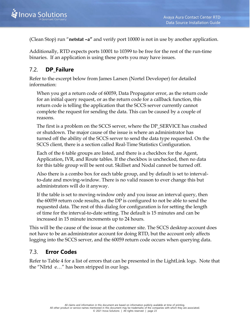(Clean Stop) run "**netstat –a"** and verify port 10000 is not in use by another application.

Additionally, RTD expects ports 10001 to 10399 to be free for the rest of the run-time binaries. If an application is using these ports you may have issues.

#### <span id="page-25-0"></span>7.2. **DP\_Failure**

Refer to the excerpt below from James Larsen (Nortel Developer) for detailed information:

When you get a return code of 60059, Data Propagator error, as the return code for an initial query request, or as the return code for a callback function, this return code is telling the application that the SCCS server currently cannot complete the request for sending the data. This can be caused by a couple of reasons.

The first is a problem on the SCCS server, where the DP\_SERVICE has crashed or shutdown. The major cause of the issue is where an administrator has turned off the ability of the SCCS server to send the data type requested. On the SCCS client, there is a section called Real-Time Statistics Configuration.

Each of the 6 table groups are listed, and there is a checkbox for the Agent, Application, IVR, and Route tables. If the checkbox is unchecked, then no data for this table group will be sent out. Skillset and Nodal cannot be turned off.

Also there is a combo box for each table group, and by default is set to intervalto-date and moving-window. There is no valid reason to ever change this but administrators will do it anyway.

If the table is set to moving-window only and you issue an interval query, then the 60059 return code results, as the DP is configured to not be able to send the requested data. The rest of this dialog for configuration is for setting the length of time for the interval-to-date setting. The default is 15 minutes and can be increased in 15 minute increments up to 24 hours.

This will be the cause of the issue at the customer site. The SCCS desktop account does not have to be an administrator account for doing RTD, but the account only affects logging into the SCCS server, and the 60059 return code occurs when querying data.

#### <span id="page-25-1"></span>7.3. **Error Codes**

Refer to [Table 4](#page-28-0) for a list of errors that can be presented in the LightLink logs. Note that the "NIrtd e…" has been stripped in our logs.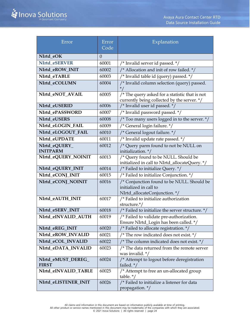| Error                              | Error<br>Code | Explanation                                                                                              |
|------------------------------------|---------------|----------------------------------------------------------------------------------------------------------|
| NIrtd_eOK                          | $\theta$      |                                                                                                          |
| NIrtd_eSERVER                      | 60001         | /* Invalid server id passed. */                                                                          |
| NIrtd_eROW_INIT                    | 60002         | /* Allocation and init of row failed. */                                                                 |
| NIrtd_eTABLE                       | 60003         | /* Invalid table id (query) passed. */                                                                   |
| NIrtd eCOLUMN                      | 60004         | /* Invalid column selection (query) passed.                                                              |
| NIrtd_eNOT_AVAIL                   | 60005         | $\frac{1}{2}$ The query asked for a statistic that is not<br>currently being collected by the server. */ |
| NIrtd_eUSERID                      | 60006         | /* Invalid user id passed. */                                                                            |
| NIrtd_ePASSWORD                    | 60007         | /* Invalid password passed. */                                                                           |
| NIrtd_eUSERS                       | 60008         | /* Too many users logged in to the server. */                                                            |
| NIrtd_eLOGIN_FAIL                  | 60009         | /* General login failure. */                                                                             |
| NIrtd_eLOGOUT_FAIL                 | 60010         | /* General logout failure. */                                                                            |
| NIrtd eUPDATE                      | 60011         | $\sqrt{\frac{x}{x}}$ Invalid update rate passed. $\sqrt{x}$                                              |
| NIrtd_eQUERY_<br><b>INITPARM</b>   | 60012         | /* Query parm found to not be NULL on<br>initialization. */                                              |
| NIrtd_eQUERY_NOINIT                | 60013         | /* Query found to be NULL. Should be<br>initialized in call to NIrtd_allocateQuery. */                   |
| NIrtd_eQUERY_INIT                  | 60014         | /* Failed to initialize Query. */                                                                        |
| NIrtd_eCONJ_INIT                   | 60015         | /* Failed to initialize Conjunction. */                                                                  |
| NIrtd_eCONJ_NOINIT                 | 60016         | /* Conjunction found to be NULL. Should be<br>initialized in call to<br>NIrtd_allocateConjunction.*/     |
| NIrtd_eAUTH_INIT                   | 60017         | /* Failed to initialize authorization<br>structure.*/                                                    |
| NIrtd_eSERV_INIT                   | 60018         | /* Failed to initialize the server structure. */                                                         |
| NIrtd_eINVALID_AUTH                | 60019         | /* Failed to validate pre-authorization.<br>Ensure NIrtd_Login has been called. */                       |
| NIrtd_eREG_INIT                    | 60020         | /* Failed to allocate registration. */                                                                   |
| NIrtd_eROW_INVALID                 | 60021         | /* The row indicated does not exist. $*/$                                                                |
| NIrtd_eCOL_INVALID                 | 60022         | /* The column indicated does not exist. */                                                               |
| NIrtd_eDATA_INVALID                | 60023         | /* The data returned from the remote server<br>was invalid. */                                           |
| NIrtd_eMUST_DEREG_<br><b>FIRST</b> | 60024         | /* Attempt to logout before deregistration<br>failed. $*/$                                               |
| NIrtd_eINVALID_TABLE               | 60025         | /* Attempt to free an un-allocated group<br>table. $*/$                                                  |
| NIrtd_eLISTENER_INIT               | 60026         | /* Failed to initialize a listener for data<br>propagation. */                                           |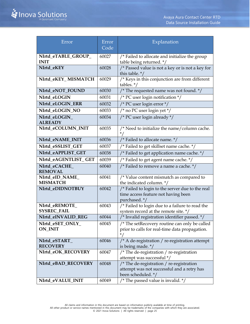| Error                | Error<br>Code | Explanation                                                          |
|----------------------|---------------|----------------------------------------------------------------------|
|                      |               |                                                                      |
| NIrtd_eTABLE_GROUP_  | 60027         | /* Failed to allocate and initialize the group                       |
| <b>INIT</b>          |               | table being returned. */                                             |
| NIrtd_eKEY           | 60028         | /* Passed value is not a key or is not a key for<br>this table. $*/$ |
| NIrtd_eKEY_MISMATCH  | 60029         | /* Keys in this conjunction are from different<br>tables. $*/$       |
| NIrtd_eNOT_FOUND     | 60030         | /* The requested name was not found. */                              |
| NIrtd_eLOGIN         | 60031         | /* PC user login notification $*/$                                   |
| NIrtd_eLOGIN_ERR     | 60032         | /* PC user login error */                                            |
| NIrtd_eLOGIN_NO      | 60033         | /* no PC user login yet */                                           |
| NIrtd eLOGIN         | 60034         | /* PC user login already */                                          |
| <b>ALREADY</b>       |               |                                                                      |
| NIrtd_eCOLUMN_INIT   | 60035         | /* Need to initialize the name/column cache.                         |
|                      |               |                                                                      |
| NIrtd_eNAME_INIT     | 60036         | /* Failed to allocate name. */                                       |
| NIrtd eSSLIST GET    | 60037         | /* Failed to get skillset name cache. */                             |
| NIrtd eAPPLIST GET   | 60038         | /* Failed to get application name cache. */                          |
| NIrtd_eAGENTLIST_GET | 60039         | /* Failed to get agent name cache. */                                |
| NIrtd_eCACHE_        | 60040         | /* Failed to remove a name a cache. */                               |
| <b>REMOVAL</b>       |               |                                                                      |
| NIrtd_eID_NAME_      | 60041         | /* Value content mismatch as compared to                             |
| <b>MISMATCH</b>      |               | the indicated column. */                                             |
| NIrtd_eDIDNOTBUY     | 60042         | /* Failed to login to the server due to the real                     |
|                      |               | time access feature not having been<br>purchased. */                 |
| NIrtd_eREMOTE_       | 60043         | /* Failed to login due to a failure to read the                      |
| <b>SYSREC_FAIL</b>   |               | system record at the remote site. */                                 |
| NIrtd_eINVALID_REG   | 60044         | $\sqrt{*}$ Invalid registration identifier passed. $^*/$             |
| NIrtd_eSET_ONLY_     | 60045         | /* The setRecovery routine can only be called                        |
| <b>ON_INIT</b>       |               | prior to calls for real-time data propagation.                       |
|                      |               |                                                                      |
| NIrtd_eSTART_        | 60046         | /* A de-registration / re-registration attempt                       |
| <b>RECOVERY</b>      |               | is being made. */                                                    |
| NIrtd_eOK_RECOVERY   | 60047         | /* The de-registration / re-registration                             |
|                      |               | attempt was successful */                                            |
| NIrtd_eBAD_RECOVERY  | 60048         | /* The de-registration / re-registration                             |
|                      |               | attempt was not successful and a retry has<br>been scheduled. */     |
| NIrtd_eVALUE_INIT    | 60049         | /* The passed value is invalid. */                                   |
|                      |               |                                                                      |